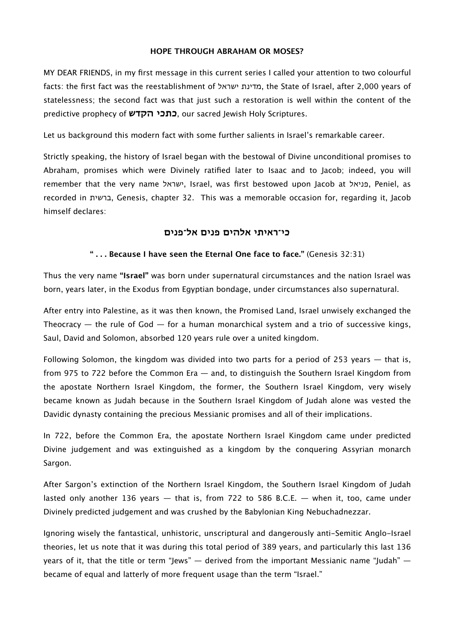#### **HOPE THROUGH ABRAHAM OR MOSES?**

MY DEAR FRIENDS, in my first message in this current series I called your attention to two colourful facts: the first fact was the reestablishment of ישראל מדינת, the State of Israel, after 2,000 years of statelessness; the second fact was that just such a restoration is well within the content of the predictive prophecy of **הקדש כתכי**, our sacred Jewish Holy Scriptures.

Let us background this modern fact with some further salients in Israel's remarkable career.

Strictly speaking, the history of Israel began with the bestowal of Divine unconditional promises to Abraham, promises which were Divinely ratified later to Isaac and to Jacob; indeed, you will remember that the very name ישראל, Israel, was first bestowed upon Jacob at פניאל, Peniel, as recorded in ברשית, Genesis, chapter 32. This was a memorable occasion for, regarding it, Jacob himself declares:

## **כי־ראיתי אלהים פנים אל־פנים**

### **" . . . Because I have seen the Eternal One face to face."** (Genesis 32:31)

Thus the very name **"Israel"** was born under supernatural circumstances and the nation Israel was born, years later, in the Exodus from Egyptian bondage, under circumstances also supernatural.

After entry into Palestine, as it was then known, the Promised Land, Israel unwisely exchanged the Theocracy  $-$  the rule of God  $-$  for a human monarchical system and a trio of successive kings, Saul, David and Solomon, absorbed 120 years rule over a united kingdom.

Following Solomon, the kingdom was divided into two parts for a period of 253 years — that is, from 975 to 722 before the Common Era — and, to distinguish the Southern Israel Kingdom from the apostate Northern Israel Kingdom, the former, the Southern Israel Kingdom, very wisely became known as Judah because in the Southern Israel Kingdom of Judah alone was vested the Davidic dynasty containing the precious Messianic promises and all of their implications.

In 722, before the Common Era, the apostate Northern Israel Kingdom came under predicted Divine judgement and was extinguished as a kingdom by the conquering Assyrian monarch Sargon.

After Sargon's extinction of the Northern Israel Kingdom, the Southern Israel Kingdom of Judah lasted only another 136 years  $-$  that is, from 722 to 586 B.C.E.  $-$  when it, too, came under Divinely predicted judgement and was crushed by the Babylonian King Nebuchadnezzar.

Ignoring wisely the fantastical, unhistoric, unscriptural and dangerously anti-Semitic Anglo-Israel theories, let us note that it was during this total period of 389 years, and particularly this last 136 years of it, that the title or term "Jews" — derived from the important Messianic name "Judah" became of equal and latterly of more frequent usage than the term "Israel."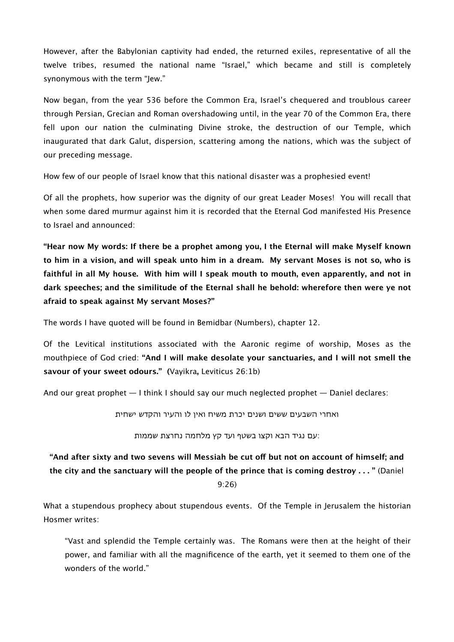However, after the Babylonian captivity had ended, the returned exiles, representative of all the twelve tribes, resumed the national name "Israel," which became and still is completely synonymous with the term "Jew."

Now began, from the year 536 before the Common Era, Israel's chequered and troublous career through Persian, Grecian and Roman overshadowing until, in the year 70 of the Common Era, there fell upon our nation the culminating Divine stroke, the destruction of our Temple, which inaugurated that dark Galut, dispersion, scattering among the nations, which was the subject of our preceding message.

How few of our people of Israel know that this national disaster was a prophesied event!

Of all the prophets, how superior was the dignity of our great Leader Moses! You will recall that when some dared murmur against him it is recorded that the Eternal God manifested His Presence to Israel and announced:

**"Hear now My words: If there be a prophet among you, I the Eternal will make Myself known to him in a vision, and will speak unto him in a dream. My servant Moses is not so, who is faithful in all My house. With him will I speak mouth to mouth, even apparently, and not in dark speeches; and the similitude of the Eternal shall he behold: wherefore then were ye not afraid to speak against My servant Moses?"**

The words I have quoted will be found in Bemidbar (Numbers), chapter 12.

Of the Levitical institutions associated with the Aaronic regime of worship, Moses as the mouthpiece of God cried: **"And I will make desolate your sanctuaries, and I will not smell the savour of your sweet odours." (**Vayikra**,** Leviticus 26:1b)

And our great prophet — I think I should say our much neglected prophet — Daniel declares:

ואחרי השבעים ששים ושנים יכרת משיח ואין לו והעיר והקדש ישחית

:עם נגיד הבא וקצו בשטף ועד קץ מלחמה נחרצת שממות

# **"And after sixty and two sevens will Messiah be cut of but not on account of himself; and the city and the sanctuary will the people of the prince that is coming destroy . . . "** (Daniel 9:26)

What a stupendous prophecy about stupendous events. Of the Temple in Jerusalem the historian Hosmer writes:

"Vast and splendid the Temple certainly was. The Romans were then at the height of their power, and familiar with all the magnificence of the earth, yet it seemed to them one of the wonders of the world."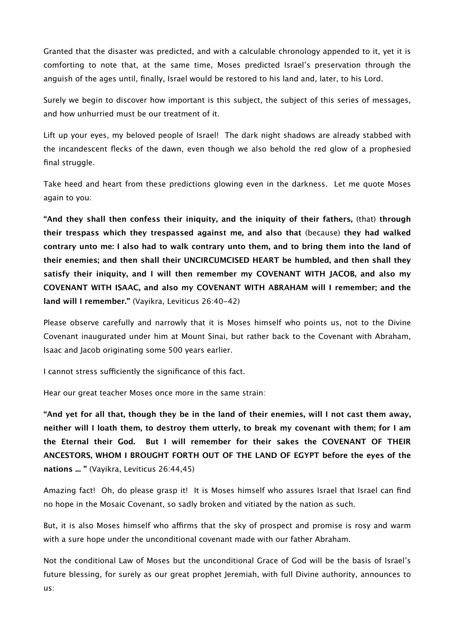Granted that the disaster was predicted, and with a calculable chronology appended to it, yet it is comforting to note that, at the same time, Moses predicted Israel's preservation through the anguish of the ages until, finally, Israel would be restored to his land and, later, to his Lord.

Surely we begin to discover how important is this subject, the subject of this series of messages, and how unhurried must be our treatment of it.

Lift up your eyes, my beloved people of Israel! The dark night shadows are already stabbed with the incandescent flecks of the dawn, even though we also behold the red glow of a prophesied final struggle.

Take heed and heart from these predictions glowing even in the darkness. Let me quote Moses again to you:

**"And they shall then confess their iniquity, and the iniquity of their fathers,** (that) **through their trespass which they trespassed against me, and also that** (because) **they had walked contrary unto me: I also had to walk contrary unto them, and to bring them into the land of their enemies; and then shall their UNCIRCUMCISED HEART be humbled, and then shall they satisfy their iniquity, and I will then remember my COVENANT WITH JACOB, and also my COVENANT WITH ISAAC, and also my COVENANT WITH ABRAHAM will I remember; and the land will I remember."** (Vayikra, Leviticus 26:40-42)

Please observe carefully and narrowly that it is Moses himself who points us, not to the Divine Covenant inaugurated under him at Mount Sinai, but rather back to the Covenant with Abraham, Isaac and Jacob originating some 500 years earlier.

I cannot stress sufficiently the significance of this fact.

Hear our great teacher Moses once more in the same strain:

**"And yet for all that, though they be in the land of their enemies, will I not cast them away, neither will I loath them, to destroy them utterly, to break my covenant with them; for I am the Eternal their God. But I will remember for their sakes the COVENANT OF THEIR ANCESTORS, WHOM I BROUGHT FORTH OUT OF THE LAND OF EGYPT before the eyes of the nations ... "** (Vayikra, Leviticus 26:44,45)

Amazing fact! Oh, do please grasp it! It is Moses himself who assures Israel that Israel can find no hope in the Mosaic Covenant, so sadly broken and vitiated by the nation as such.

But, it is also Moses himself who affirms that the sky of prospect and promise is rosy and warm with a sure hope under the unconditional covenant made with our father Abraham.

Not the conditional Law of Moses but the unconditional Grace of God will be the basis of Israel's future blessing, for surely as our great prophet Jeremiah, with full Divine authority, announces to us: